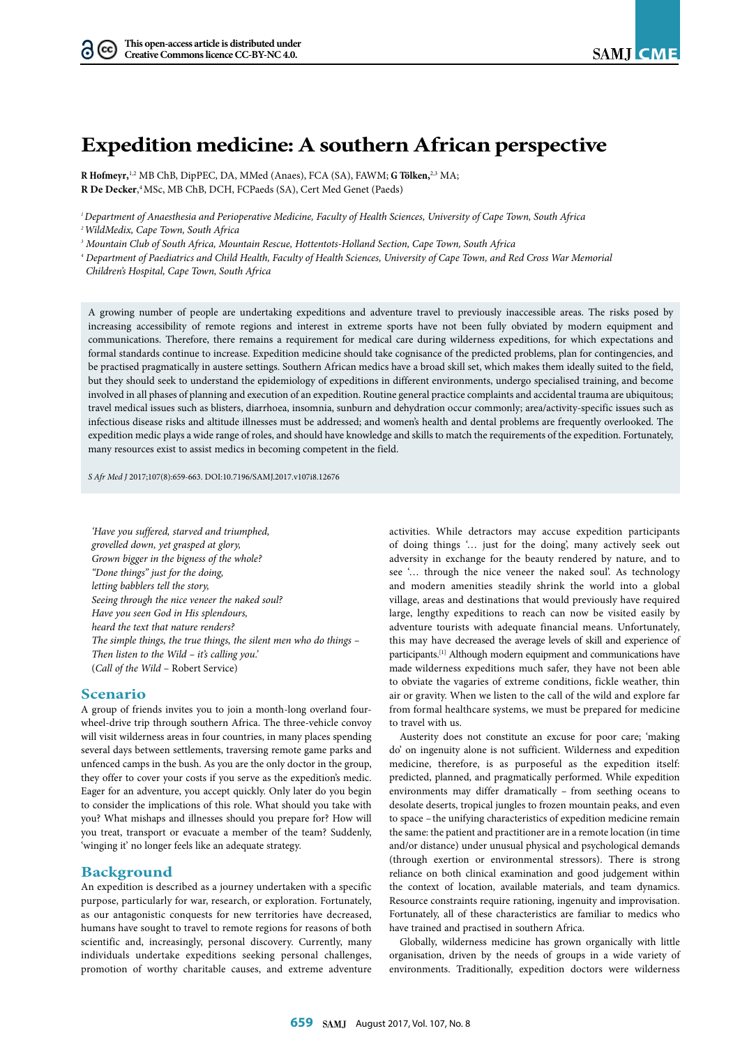# **Expedition medicine: A southern African perspective**

**R Hofmeyr,** 1,2 MB ChB, DipPEC, DA, MMed (Anaes), FCA (SA), FAWM; **G Tölken,** 2,3 MA; **R De Decker**, 4 MSc, MB ChB, DCH, FCPaeds (SA), Cert Med Genet (Paeds)

*1 Department of Anaesthesia and Perioperative Medicine, Faculty of Health Sciences, University of Cape Town, South Africa* 

*3 Mountain Club of South Africa, Mountain Rescue, Hottentots-Holland Section, Cape Town, South Africa*

*4 Department of Paediatrics and Child Health, Faculty of Health Sciences, University of Cape Town, and Red Cross War Memorial* 

 *Children's Hospital, Cape Town, South Africa*

A growing number of people are undertaking expeditions and adventure travel to previously inaccessible areas. The risks posed by increasing accessibility of remote regions and interest in extreme sports have not been fully obviated by modern equipment and communications. Therefore, there remains a requirement for medical care during wilderness expeditions, for which expectations and formal standards continue to increase. Expedition medicine should take cognisance of the predicted problems, plan for contingencies, and be practised pragmatically in austere settings. Southern African medics have a broad skill set, which makes them ideally suited to the field, but they should seek to understand the epidemiology of expeditions in different environments, undergo specialised training, and become involved in all phases of planning and execution of an expedition. Routine general practice complaints and accidental trauma are ubiquitous; travel medical issues such as blisters, diarrhoea, insomnia, sunburn and dehydration occur commonly; area/activity-specific issues such as infectious disease risks and altitude illnesses must be addressed; and women's health and dental problems are frequently overlooked. The expedition medic plays a wide range of roles, and should have knowledge and skills to match the requirements of the expedition. Fortunately, many resources exist to assist medics in becoming competent in the field.

*S Afr Med J* 2017;107(8):659-663. DOI[:10.7196/SAMJ.](10.7196/SAMJ)2017.v107i8.12676

*'Have you suffered, starved and triumphed, grovelled down, yet grasped at glory, Grown bigger in the bigness of the whole? "Done things" just for the doing, letting babblers tell the story, Seeing through the nice veneer the naked soul? Have you seen God in His splendours, heard the text that nature renders? The simple things, the true things, the silent men who do things – Then listen to the Wild – it's calling you.'*  (*Call of the Wild* – Robert Service)

#### **Scenario**

A group of friends invites you to join a month-long overland fourwheel-drive trip through southern Africa. The three-vehicle convoy will visit wilderness areas in four countries, in many places spending several days between settlements, traversing remote game parks and unfenced camps in the bush. As you are the only doctor in the group, they offer to cover your costs if you serve as the expedition's medic. Eager for an adventure, you accept quickly. Only later do you begin to consider the implications of this role. What should you take with you? What mishaps and illnesses should you prepare for? How will you treat, transport or evacuate a member of the team? Suddenly, 'winging it' no longer feels like an adequate strategy.

#### **Background**

An expedition is described as a journey undertaken with a specific purpose, particularly for war, research, or exploration. Fortunately, as our antagonistic conquests for new territories have decreased, humans have sought to travel to remote regions for reasons of both scientific and, increasingly, personal discovery. Currently, many individuals undertake expeditions seeking personal challenges, promotion of worthy charitable causes, and extreme adventure

activities. While detractors may accuse expedition participants of doing things '… just for the doing', many actively seek out adversity in exchange for the beauty rendered by nature, and to see '… through the nice veneer the naked soul'. As technology and modern amenities steadily shrink the world into a global village, areas and destinations that would previously have required large, lengthy expeditions to reach can now be visited easily by adventure tourists with adequate financial means. Unfortunately, this may have decreased the average levels of skill and experience of participants.[1] Although modern equipment and communications have made wilderness expeditions much safer, they have not been able to obviate the vagaries of extreme conditions, fickle weather, thin air or gravity. When we listen to the call of the wild and explore far from formal healthcare systems, we must be prepared for medicine to travel with us.

Austerity does not constitute an excuse for poor care; 'making do' on ingenuity alone is not sufficient. Wilderness and expedition medicine, therefore, is as purposeful as the expedition itself: predicted, planned, and pragmatically performed. While expedition environments may differ dramatically – from seething oceans to desolate deserts, tropical jungles to frozen mountain peaks, and even to space – the unifying characteristics of expedition medicine remain the same: the patient and practitioner are in a remote location (in time and/or distance) under unusual physical and psychological demands (through exertion or environmental stressors). There is strong reliance on both clinical examination and good judgement within the context of location, available materials, and team dynamics. Resource constraints require rationing, ingenuity and improvisation. Fortunately, all of these characteristics are familiar to medics who have trained and practised in southern Africa.

Globally, wilderness medicine has grown organically with little organisation, driven by the needs of groups in a wide variety of environments. Traditionally, expedition doctors were wilderness

*<sup>2</sup> WildMedix, Cape Town, South Africa*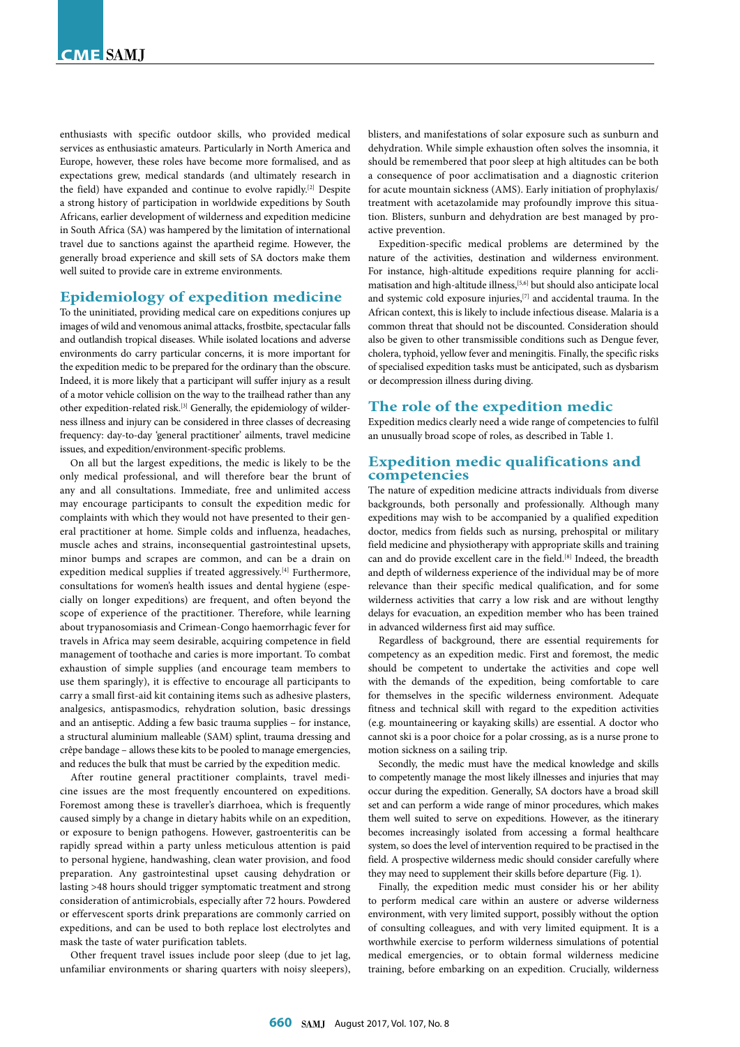enthusiasts with specific outdoor skills, who provided medical services as enthusiastic amateurs. Particularly in North America and Europe, however, these roles have become more formalised, and as expectations grew, medical standards (and ultimately research in the field) have expanded and continue to evolve rapidly.[2] Despite a strong history of participation in worldwide expeditions by South Africans, earlier development of wilderness and expedition medicine in South Africa (SA) was hampered by the limitation of international travel due to sanctions against the apartheid regime. However, the generally broad experience and skill sets of SA doctors make them well suited to provide care in extreme environments.

### **Epidemiology of expedition medicine**

To the uninitiated, providing medical care on expeditions conjures up images of wild and venomous animal attacks, frostbite, spectacular falls and outlandish tropical diseases. While isolated locations and adverse environments do carry particular concerns, it is more important for the expedition medic to be prepared for the ordinary than the obscure. Indeed, it is more likely that a participant will suffer injury as a result of a motor vehicle collision on the way to the trailhead rather than any other expedition-related risk.[3] Generally, the epidemiology of wilderness illness and injury can be considered in three classes of decreasing frequency: day-to-day 'general practitioner' ailments, travel medicine issues, and expedition/environment-specific problems.

On all but the largest expeditions, the medic is likely to be the only medical professional, and will therefore bear the brunt of any and all consultations. Immediate, free and unlimited access may encourage participants to consult the expedition medic for complaints with which they would not have presented to their general practitioner at home. Simple colds and influenza, headaches, muscle aches and strains, inconsequential gastrointestinal upsets, minor bumps and scrapes are common, and can be a drain on expedition medical supplies if treated aggressively.[4] Furthermore, consultations for women's health issues and dental hygiene (especially on longer expeditions) are frequent, and often beyond the scope of experience of the practitioner. Therefore, while learning about trypanosomiasis and Crimean-Congo haemorrhagic fever for travels in Africa may seem desirable, acquiring competence in field management of toothache and caries is more important. To combat exhaustion of simple supplies (and encourage team members to use them sparingly), it is effective to encourage all participants to carry a small first-aid kit containing items such as adhesive plasters, analgesics, antispasmodics, rehydration solution, basic dressings and an antiseptic. Adding a few basic trauma supplies – for instance, a structural aluminium malleable (SAM) splint, trauma dressing and crêpe bandage – allows these kits to be pooled to manage emergencies, and reduces the bulk that must be carried by the expedition medic.

After routine general practitioner complaints, travel medicine issues are the most frequently encountered on expeditions. Foremost among these is traveller's diarrhoea, which is frequently caused simply by a change in dietary habits while on an expedition, or exposure to benign pathogens. However, gastroenteritis can be rapidly spread within a party unless meticulous attention is paid to personal hygiene, handwashing, clean water provision, and food preparation. Any gastrointestinal upset causing dehydration or lasting >48 hours should trigger symptomatic treatment and strong consideration of antimicrobials, especially after 72 hours. Powdered or effervescent sports drink preparations are commonly carried on expeditions, and can be used to both replace lost electrolytes and mask the taste of water purification tablets.

Other frequent travel issues include poor sleep (due to jet lag, unfamiliar environments or sharing quarters with noisy sleepers), blisters, and manifestations of solar exposure such as sunburn and dehydration. While simple exhaustion often solves the insomnia, it should be remembered that poor sleep at high altitudes can be both a consequence of poor acclimatisation and a diagnostic criterion for acute mountain sickness (AMS). Early initiation of prophylaxis/ treatment with acetazolamide may profoundly improve this situation. Blisters, sunburn and dehydration are best managed by proactive prevention.

Expedition-specific medical problems are determined by the nature of the activities, destination and wilderness environment. For instance, high-altitude expeditions require planning for acclimatisation and high-altitude illness,[5,6] but should also anticipate local and systemic cold exposure injuries,[7] and accidental trauma. In the African context, this is likely to include infectious disease. Malaria is a common threat that should not be discounted. Consideration should also be given to other transmissible conditions such as Dengue fever, cholera, typhoid, yellow fever and meningitis. Finally, the specific risks of specialised expedition tasks must be anticipated, such as dysbarism or decompression illness during diving.

#### **The role of the expedition medic**

Expedition medics clearly need a wide range of competencies to fulfil an unusually broad scope of roles, as described in Table 1.

### **Expedition medic qualifications and competencies**

The nature of expedition medicine attracts individuals from diverse backgrounds, both personally and professionally. Although many expeditions may wish to be accompanied by a qualified expedition doctor, medics from fields such as nursing, prehospital or military field medicine and physiotherapy with appropriate skills and training can and do provide excellent care in the field.<sup>[8]</sup> Indeed, the breadth and depth of wilderness experience of the individual may be of more relevance than their specific medical qualification, and for some wilderness activities that carry a low risk and are without lengthy delays for evacuation, an expedition member who has been trained in advanced wilderness first aid may suffice.

Regardless of background, there are essential requirements for competency as an expedition medic. First and foremost, the medic should be competent to undertake the activities and cope well with the demands of the expedition, being comfortable to care for themselves in the specific wilderness environment. Adequate fitness and technical skill with regard to the expedition activities (e.g. mountaineering or kayaking skills) are essential. A doctor who cannot ski is a poor choice for a polar crossing, as is a nurse prone to motion sickness on a sailing trip.

Secondly, the medic must have the medical knowledge and skills to competently manage the most likely illnesses and injuries that may occur during the expedition. Generally, SA doctors have a broad skill set and can perform a wide range of minor procedures, which makes them well suited to serve on expeditions. However, as the itinerary becomes increasingly isolated from accessing a formal healthcare system, so does the level of intervention required to be practised in the field. A prospective wilderness medic should consider carefully where they may need to supplement their skills before departure (Fig. 1).

Finally, the expedition medic must consider his or her ability to perform medical care within an austere or adverse wilderness environment, with very limited support, possibly without the option of consulting colleagues, and with very limited equipment. It is a worthwhile exercise to perform wilderness simulations of potential medical emergencies, or to obtain formal wilderness medicine training, before embarking on an expedition. Crucially, wilderness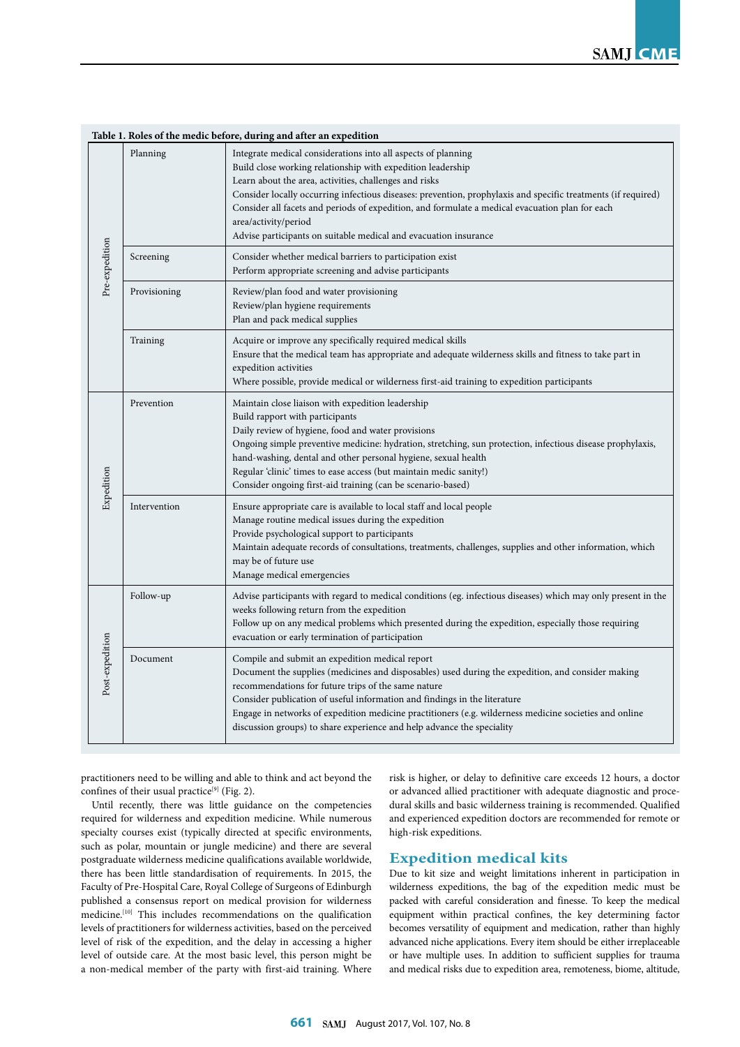| Table 1. Roles of the medic before, during and after an expedition |              |                                                                                                                                                                                                                                                                                                                                                                                                                                                                                                        |
|--------------------------------------------------------------------|--------------|--------------------------------------------------------------------------------------------------------------------------------------------------------------------------------------------------------------------------------------------------------------------------------------------------------------------------------------------------------------------------------------------------------------------------------------------------------------------------------------------------------|
| Pre-expedition                                                     | Planning     | Integrate medical considerations into all aspects of planning<br>Build close working relationship with expedition leadership<br>Learn about the area, activities, challenges and risks<br>Consider locally occurring infectious diseases: prevention, prophylaxis and specific treatments (if required)<br>Consider all facets and periods of expedition, and formulate a medical evacuation plan for each<br>area/activity/period<br>Advise participants on suitable medical and evacuation insurance |
|                                                                    | Screening    | Consider whether medical barriers to participation exist<br>Perform appropriate screening and advise participants                                                                                                                                                                                                                                                                                                                                                                                      |
|                                                                    | Provisioning | Review/plan food and water provisioning<br>Review/plan hygiene requirements<br>Plan and pack medical supplies                                                                                                                                                                                                                                                                                                                                                                                          |
|                                                                    | Training     | Acquire or improve any specifically required medical skills<br>Ensure that the medical team has appropriate and adequate wilderness skills and fitness to take part in<br>expedition activities<br>Where possible, provide medical or wilderness first-aid training to expedition participants                                                                                                                                                                                                         |
| Expedition                                                         | Prevention   | Maintain close liaison with expedition leadership<br>Build rapport with participants<br>Daily review of hygiene, food and water provisions<br>Ongoing simple preventive medicine: hydration, stretching, sun protection, infectious disease prophylaxis,<br>hand-washing, dental and other personal hygiene, sexual health<br>Regular 'clinic' times to ease access (but maintain medic sanity!)<br>Consider ongoing first-aid training (can be scenario-based)                                        |
|                                                                    | Intervention | Ensure appropriate care is available to local staff and local people<br>Manage routine medical issues during the expedition<br>Provide psychological support to participants<br>Maintain adequate records of consultations, treatments, challenges, supplies and other information, which<br>may be of future use<br>Manage medical emergencies                                                                                                                                                        |
| Post-expedition                                                    | Follow-up    | Advise participants with regard to medical conditions (eg. infectious diseases) which may only present in the<br>weeks following return from the expedition<br>Follow up on any medical problems which presented during the expedition, especially those requiring<br>evacuation or early termination of participation                                                                                                                                                                                 |
|                                                                    | Document     | Compile and submit an expedition medical report<br>Document the supplies (medicines and disposables) used during the expedition, and consider making<br>recommendations for future trips of the same nature<br>Consider publication of useful information and findings in the literature<br>Engage in networks of expedition medicine practitioners (e.g. wilderness medicine societies and online<br>discussion groups) to share experience and help advance the speciality                           |

practitioners need to be willing and able to think and act beyond the confines of their usual practice<sup>[9]</sup> (Fig. 2).

Until recently, there was little guidance on the competencies required for wilderness and expedition medicine. While numerous specialty courses exist (typically directed at specific environments, such as polar, mountain or jungle medicine) and there are several postgraduate wilderness medicine qualifications available worldwide, there has been little standardisation of requirements. In 2015, the Faculty of Pre-Hospital Care, Royal College of Surgeons of Edinburgh published a consensus report on medical provision for wilderness medicine.[10] This includes recommendations on the qualification levels of practitioners for wilderness activities, based on the perceived level of risk of the expedition, and the delay in accessing a higher level of outside care. At the most basic level, this person might be a non-medical member of the party with first-aid training. Where

risk is higher, or delay to definitive care exceeds 12 hours, a doctor or advanced allied practitioner with adequate diagnostic and procedural skills and basic wilderness training is recommended. Qualified and experienced expedition doctors are recommended for remote or high-risk expeditions.

## **Expedition medical kits**

Due to kit size and weight limitations inherent in participation in wilderness expeditions, the bag of the expedition medic must be packed with careful consideration and finesse. To keep the medical equipment within practical confines, the key determining factor becomes versatility of equipment and medication, rather than highly advanced niche applications. Every item should be either irreplaceable or have multiple uses. In addition to sufficient supplies for trauma and medical risks due to expedition area, remoteness, biome, altitude,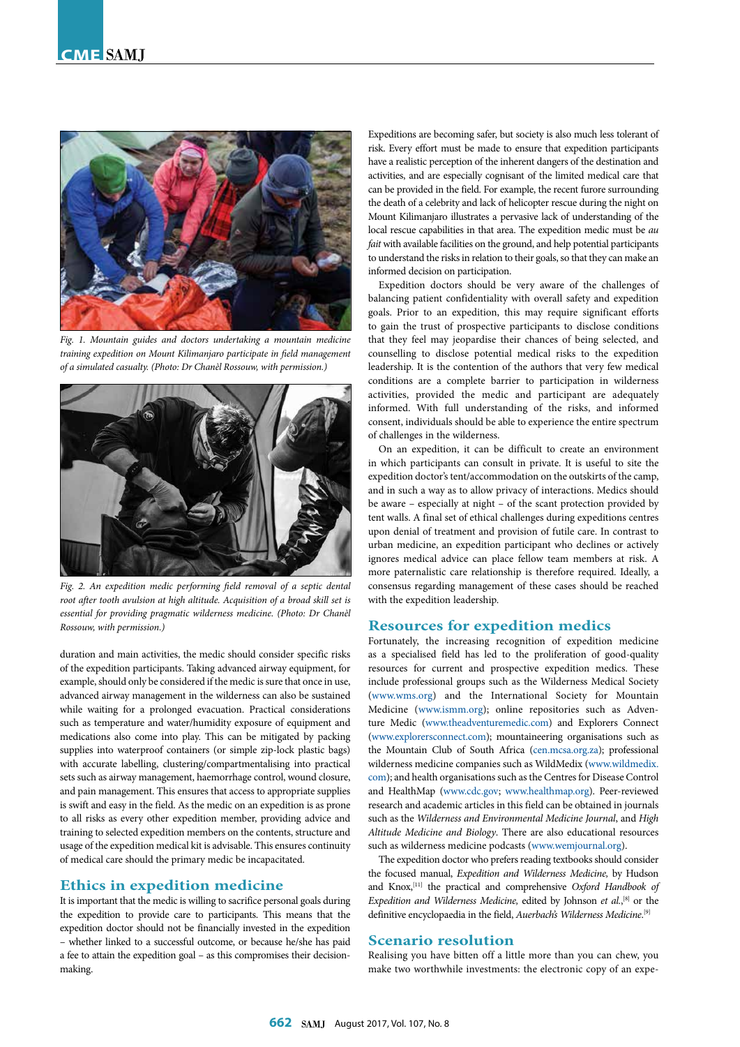

*Fig. 1. Mountain guides and doctors undertaking a mountain medicine training expedition on Mount Kilimanjaro participate in field management of a simulated casualty. (Photo: Dr Chanèl Rossouw, with permission.)*



*Fig. 2. An expedition medic performing field removal of a septic dental root after tooth avulsion at high altitude. Acquisition of a broad skill set is essential for providing pragmatic wilderness medicine. (Photo: Dr Chanèl Rossouw, with permission.)*

duration and main activities, the medic should consider specific risks of the expedition participants. Taking advanced airway equipment, for example, should only be considered if the medic is sure that once in use, advanced airway management in the wilderness can also be sustained while waiting for a prolonged evacuation. Practical considerations such as temperature and water/humidity exposure of equipment and medications also come into play. This can be mitigated by packing supplies into waterproof containers (or simple zip-lock plastic bags) with accurate labelling, clustering/compartmentalising into practical sets such as airway management, haemorrhage control, wound closure, and pain management. This ensures that access to appropriate supplies is swift and easy in the field. As the medic on an expedition is as prone to all risks as every other expedition member, providing advice and training to selected expedition members on the contents, structure and usage of the expedition medical kit is advisable. This ensures continuity of medical care should the primary medic be incapacitated.

#### **Ethics in expedition medicine**

It is important that the medic is willing to sacrifice personal goals during the expedition to provide care to participants. This means that the expedition doctor should not be financially invested in the expedition – whether linked to a successful outcome, or because he/she has paid a fee to attain the expedition goal – as this compromises their decisionmaking.

Expeditions are becoming safer, but society is also much less tolerant of risk. Every effort must be made to ensure that expedition participants have a realistic perception of the inherent dangers of the destination and activities, and are especially cognisant of the limited medical care that can be provided in the field. For example, the recent furore surrounding the death of a celebrity and lack of helicopter rescue during the night on Mount Kilimanjaro illustrates a pervasive lack of understanding of the local rescue capabilities in that area. The expedition medic must be *au fait* with available facilities on the ground, and help potential participants to understand the risks in relation to their goals, so that they can make an informed decision on participation.

Expedition doctors should be very aware of the challenges of balancing patient confidentiality with overall safety and expedition goals. Prior to an expedition, this may require significant efforts to gain the trust of prospective participants to disclose conditions that they feel may jeopardise their chances of being selected, and counselling to disclose potential medical risks to the expedition leadership. It is the contention of the authors that very few medical conditions are a complete barrier to participation in wilderness activities, provided the medic and participant are adequately informed. With full understanding of the risks, and informed consent, individuals should be able to experience the entire spectrum of challenges in the wilderness.

On an expedition, it can be difficult to create an environment in which participants can consult in private. It is useful to site the expedition doctor's tent/accommodation on the outskirts of the camp, and in such a way as to allow privacy of interactions. Medics should be aware – especially at night – of the scant protection provided by tent walls. A final set of ethical challenges during expeditions centres upon denial of treatment and provision of futile care. In contrast to urban medicine, an expedition participant who declines or actively ignores medical advice can place fellow team members at risk. A more paternalistic care relationship is therefore required. Ideally, a consensus regarding management of these cases should be reached with the expedition leadership.

### **Resources for expedition medics**

Fortunately, the increasing recognition of expedition medicine as a specialised field has led to the proliferation of good-quality resources for current and prospective expedition medics. These include professional groups such as the Wilderness Medical Society [\(www.wms.org](www.wms.org)) and the International Society for Mountain Medicine ([www.ismm.org\)](www.ismm.org); online repositories such as Adventure Medic [\(www.theadventuremedic.com\)](www.theadventuremedic.com) and Explorers Connect [\(www.explorersconnect.com](www.explorersconnect.com)); mountaineering organisations such as the Mountain Club of South Africa [\(cen.mcsa.org.za](cen.mcsa.org.za)); professional wilderness medicine companies such as WildMedix ([www.wildmedix.](www.wildmedix.com) [com\)](www.wildmedix.com); and health organisations such as the Centres for Disease Control and HealthMap (<www.cdc.gov>; [www.healthmap.org\)](www.healthmap.org). Peer-reviewed research and academic articles in this field can be obtained in journals such as the *Wilderness and Environmental Medicine Journal*, and *High Altitude Medicine and Biology*. There are also educational resources such as wilderness medicine podcasts (<www.wemjournal.org>).

The expedition doctor who prefers reading textbooks should consider the focused manual, *Expedition and Wilderness Medicine,* by Hudson and Knox,<sup>[11]</sup> the practical and comprehensive *Oxford Handbook of* Expedition and Wilderness Medicine, edited by Johnson et al.,<sup>[8]</sup> or the definitive encyclopaedia in the field, *Auerbach's Wilderness Medicine*. [9]

#### **Scenario resolution**

Realising you have bitten off a little more than you can chew, you make two worthwhile investments: the electronic copy of an expe-